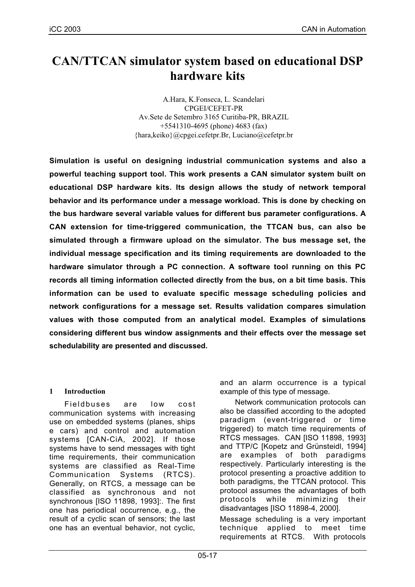# **CAN/TTCAN simulator system based on educational DSP hardware kits**

A.Hara, K.Fonseca, L. Scandelari CPGEI/CEFET-PR Av.Sete de Setembro 3165 Curitiba-PR, BRAZIL +5541310-4695 (phone) 4683 (fax) {hara,keiko}@cpgei.cefetpr.Br, Luciano@cefetpr.br

**Simulation is useful on designing industrial communication systems and also a powerful teaching support tool. This work presents a CAN simulator system built on educational DSP hardware kits. Its design allows the study of network temporal behavior and its performance under a message workload. This is done by checking on the bus hardware several variable values for different bus parameter configurations. A CAN extension for time-triggered communication, the TTCAN bus, can also be simulated through a firmware upload on the simulator. The bus message set, the individual message specification and its timing requirements are downloaded to the hardware simulator through a PC connection. A software tool running on this PC records all timing information collected directly from the bus, on a bit time basis. This information can be used to evaluate specific message scheduling policies and network configurations for a message set. Results validation compares simulation values with those computed from an analytical model. Examples of simulations considering different bus window assignments and their effects over the message set schedulability are presented and discussed.**

### **1 Introduction**

Fieldbuses are low cost communication systems with increasing use on embedded systems (planes, ships e cars) and control and automation systems [CAN-CiA, 2002]. If those systems have to send messages with tight time requirements, their communication systems are classified as Real-Time Communication Systems (RTCS). Generally, on RTCS, a message can be classified as synchronous and not synchronous [ISO 11898, 1993]:. The first one has periodical occurrence, e.g., the result of a cyclic scan of sensors; the last one has an eventual behavior, not cyclic,

and an alarm occurrence is a typical example of this type of message.

Network communication protocols can also be classified according to the adopted paradigm (event-triggered or time triggered) to match time requirements of RTCS messages. CAN [ISO 11898, 1993] and TTP/C [Kopetz and Grünsteidl, 1994] are examples of both paradigms respectively. Particularly interesting is the protocol presenting a proactive addition to both paradigms, the TTCAN protocol. This protocol assumes the advantages of both protocols while minimizing their disadvantages [ISO 11898-4, 2000].

Message scheduling is a very important technique applied to meet time requirements at RTCS. With protocols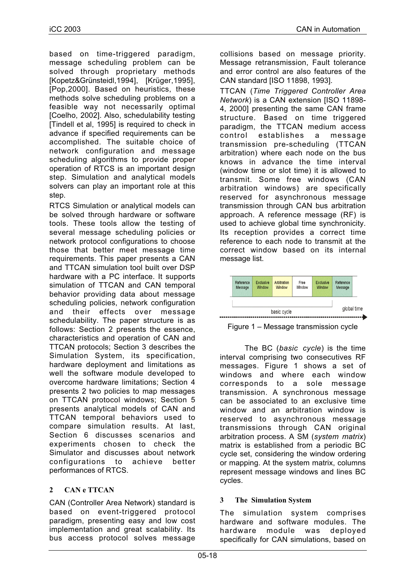based on time-triggered paradigm, message scheduling problem can be solved through proprietary methods [Kopetz&Grünsteidl,1994], [Krüger,1995], [Pop,2000]. Based on heuristics, these methods solve scheduling problems on a feasible way not necessarily optimal [Coelho, 2002]. Also, schedulability testing [Tindell et al, 1995] is required to check in advance if specified requirements can be accomplished. The suitable choice of network configuration and message scheduling algorithms to provide proper operation of RTCS is an important design step. Simulation and analytical models solvers can play an important role at this step.

RTCS Simulation or analytical models can be solved through hardware or software tools. These tools allow the testing of several message scheduling policies or network protocol configurations to choose those that better meet message time requirements. This paper presents a CAN and TTCAN simulation tool built over DSP hardware with a PC interface. It supports simulation of TTCAN and CAN temporal behavior providing data about message scheduling policies, network configuration and their effects over message schedulability. The paper structure is as follows: Section 2 presents the essence, characteristics and operation of CAN and TTCAN protocols; Section 3 describes the Simulation System, its specification, hardware deployment and limitations as well the software module developed to overcome hardware limitations; Section 4 presents 2 two policies to map messages on TTCAN protocol windows; Section 5 presents analytical models of CAN and TTCAN temporal behaviors used to compare simulation results. At last, Section 6 discusses scenarios and experiments chosen to check the Simulator and discusses about network configurations to achieve better performances of RTCS.

# **2 CAN e TTCAN**

CAN (Controller Area Network) standard is based on event-triggered protocol paradigm, presenting easy and low cost implementation and great scalability. Its bus access protocol solves message collisions based on message priority. Message retransmission, Fault tolerance and error control are also features of the CAN standard [ISO 11898, 1993].

TTCAN (*Time Triggered Controller Area Network*) is a CAN extension [ISO 11898- 4, 2000] presenting the same CAN frame structure. Based on time triggered paradigm, the TTCAN medium access control establishes a message transmission pre-scheduling (TTCAN arbitration) where each node on the bus knows in advance the time interval (window time or slot time) it is allowed to transmit. Some free windows (CAN arbitration windows) are specifically reserved for asynchronous message transmission through CAN bus arbitration approach. A reference message (RF) is used to achieve global time synchronicity. Its reception provides a correct time reference to each node to transmit at the correct window based on its internal message list.



Figure 1 – Message transmission cycle

The BC (*basic cycle*) is the time interval comprising two consecutives RF messages. Figure 1 shows a set of windows and where each window corresponds to a sole message transmission. A synchronous message can be associated to an exclusive time window and an arbitration window is reserved to asynchronous message transmissions through CAN original arbitration process. A SM (*system matrix*) matrix is established from a periodic BC cycle set, considering the window ordering or mapping. At the system matrix, columns represent message windows and lines BC cycles.

# **3 The Simulation System**

The simulation system comprises hardware and software modules. The hardware module was deployed specifically for CAN simulations, based on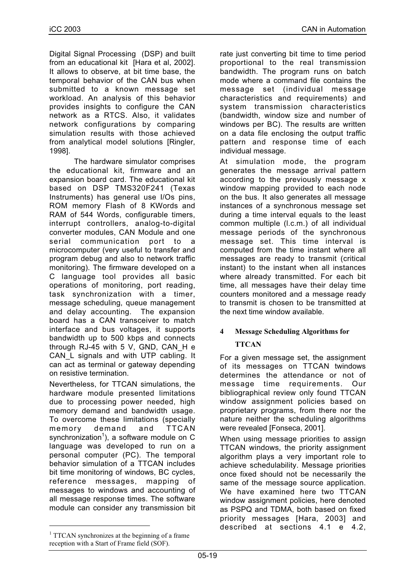Digital Signal Processing (DSP) and built from an educational kit [Hara et al, 2002]. It allows to observe, at bit time base, the temporal behavior of the CAN bus when submitted to a known message set workload. An analysis of this behavior provides insights to configure the CAN network as a RTCS. Also, it validates network configurations by comparing simulation results with those achieved from analytical model solutions [Ringler, 1998].

The hardware simulator comprises the educational kit, firmware and an expansion board card. The educational kit based on DSP TMS320F241 (Texas Instruments) has general use I/Os pins, ROM memory Flash of 8 KWords and RAM of 544 Words, configurable timers, interrupt controllers, analog-to-digital converter modules, CAN Module and one serial communication port to a microcomputer (very useful to transfer and program debug and also to network traffic monitoring). The firmware developed on a C language tool provides all basic operations of monitoring, port reading, task synchronization with a timer, message scheduling, queue management and delay accounting. The expansion board has a CAN transceiver to match interface and bus voltages, it supports bandwidth up to 500 kbps and connects through RJ-45 with 5 V, GND, CAN H e CAN L signals and with UTP cabling. It can act as terminal or gateway depending on resistive termination.

Nevertheless, for TTCAN simulations, the hardware module presented limitations due to processing power needed, high memory demand and bandwidth usage. To overcome these limitations (specially memory demand and TTCAN synchronization<sup>1</sup>), a software module on C language was developed to run on a personal computer (PC). The temporal behavior simulation of a TTCAN includes bit time monitoring of windows, BC cycles, reference messages, mapping of messages to windows and accounting of all message response times. The software module can consider any transmission bit

 $\overline{a}$ 

rate just converting bit time to time period proportional to the real transmission bandwidth. The program runs on batch mode where a command file contains the message set (individual message characteristics and requirements) and system transmission characteristics (bandwidth, window size and number of windows per BC). The results are written on a data file enclosing the output traffic pattern and response time of each individual message.

At simulation mode, the program generates the message arrival pattern according to the previously message x window mapping provided to each node on the bus. It also generates all message instances of a synchronous message set during a time interval equals to the least common multiple (l.c.m.) of all individual message periods of the synchronous message set. This time interval is computed from the time instant where all messages are ready to transmit (critical instant) to the instant when all instances where already transmitted. For each bit time, all messages have their delay time counters monitored and a message ready to transmit is chosen to be transmitted at the next time window available.

# **4 Message Scheduling Algorithms for**

# **TTCAN**

For a given message set, the assignment of its messages on TTCAN twindows determines the attendance or not of message time requirements. Our bibliographical review only found TTCAN window assignment policies based on proprietary programs, from there nor the nature neither the scheduling algorithms were revealed [Fonseca, 2001].

When using message priorities to assign TTCAN windows, the priority assignment algorithm plays a very important role to achieve schedulability. Message priorities once fixed should not be necessarily the same of the message source application. We have examined here two TTCAN window assignment policies, here denoted as PSPQ and TDMA, both based on fixed priority messages [Hara, 2003] and described at sections 4.1 e 4.2,

<sup>&</sup>lt;sup>1</sup> TTCAN synchronizes at the beginning of a frame reception with a Start of Frame field (SOF).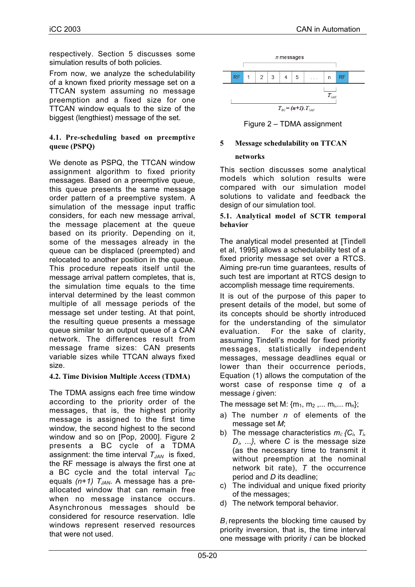respectively. Section 5 discusses some simulation results of both policies.

From now, we analyze the schedulability of a known fixed priority message set on a TTCAN system assuming no message preemption and a fixed size for one TTCAN window equals to the size of the biggest (lengthiest) message of the set.

### **4.1. Pre-scheduling based on preemptive queue (PSPQ)**

We denote as PSPQ, the TTCAN window assignment algorithm to fixed priority messages. Based on a preemptive queue, this queue presents the same message order pattern of a preemptive system. A simulation of the message input traffic considers, for each new message arrival, the message placement at the queue based on its priority. Depending on it, some of the messages already in the queue can be displaced (preempted) and relocated to another position in the queue. This procedure repeats itself until the message arrival pattern completes, that is, the simulation time equals to the time interval determined by the least common multiple of all message periods of the message set under testing. At that point, the resulting queue presents a message queue similar to an output queue of a CAN network. The differences result from message frame sizes: CAN presents variable sizes while TTCAN always fixed size.

### **4.2. Time Division Multiple Access (TDMA)**

The TDMA assigns each free time window according to the priority order of the messages, that is, the highest priority message is assigned to the first time window, the second highest to the second window and so on [Pop, 2000]. Figure 2 presents a BC cycle of a TDMA assignment: the time interval  $T_{JAN}$  is fixed, the RF message is always the first one at a BC cycle and the total interval  $T_{BC}$ equals (n+1) T<sub>JAN</sub>. A message has a preallocated window that can remain free when no message instance occurs. Asynchronous messages should be considered for resource reservation. Idle windows represent reserved resources that were not used.



Figure 2 – TDMA assignment

# **5 Message schedulability on TTCAN**

### **networks**

This section discusses some analytical models which solution results were compared with our simulation model solutions to validate and feedback the design of our simulation tool.

#### **5.1. Analytical model of SCTR temporal behavior**

The analytical model presented at [Tindell et al, 1995] allows a schedulability test of a fixed priority message set over a RTCS. Aiming pre-run time guarantees, results of such test are important at RTCS design to accomplish message time requirements.

It is out of the purpose of this paper to present details of the model, but some of its concepts should be shortly introduced for the understanding of the simulator evaluation. For the sake of clarity, assuming Tindell's model for fixed priority messages, statistically independent messages, message deadlines equal or lower than their occurrence periods, Equation (1) allows the computation of the worst case of response time *q* of a message *i* given:

The message set M:  $\{m_1, m_2, \ldots m_i, \ldots m_n\}$ ;

- a) The number *n* of elements of the message set *M*;
- b) The message characteristics  $m_i$   $C_i$ ,  $T_i$ , *Di, ...}*, where *C* is the message size (as the necessary time to transmit it without preemption at the nominal network bit rate), *T* the occurrence period and *D* its deadline;
- c) The individual and unique fixed priority of the messages;
- d) The network temporal behavior.

*Bi* represents the blocking time caused by priority inversion, that is, the time interval one message with priority *i* can be blocked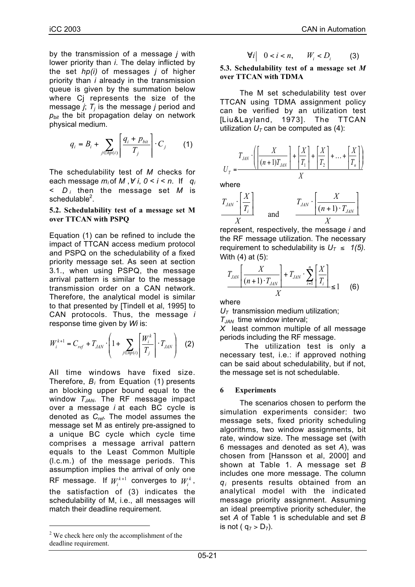by the transmission of a message *j* with lower priority than *i*. The delay inflicted by the set *hp(i)* of messages *j* of higher priority than *i* already in the transmission queue is given by the summation below where Cj represents the size of the message  $j$ ;  $T_j$  is the message  $j$  period and  $p_{bit}$  the bit propagation delay on network physical medium.

$$
q_i = B_i + \sum_{j \in hp(i)} \left[ \frac{q_i + p_{bit}}{T_j} \right] \cdot C_j \qquad (1)
$$

The schedulability test of *M* checks for each message  $m_i$  of M,  $\forall i, 0 \le i \le n$ . If  $q_i$ *< D <sup>i</sup>* then the message set *M* is schedulable<sup>2</sup>.

#### **5.2. Schedulability test of a message set M over TTCAN with PSPQ**

Equation (1) can be refined to include the impact of TTCAN access medium protocol and PSPQ on the schedulability of a fixed priority message set. As seen at section 3.1., when using PSPQ, the message arrival pattern is similar to the message transmission order on a CAN network. Therefore, the analytical model is similar to that presented by [Tindell et al, 1995] to CAN protocols. Thus, the message *i* response time given by *Wi* is:

$$
W_i^{k+1} = C_{ref} + T_{JAN} \cdot \left(1 + \sum_{j \in hp(i)} \left[\frac{W_i^k}{T_j}\right] \cdot T_{JAN}\right)
$$
 (2)

All time windows have fixed size. Therefore, *Bi* from Equation (1) presents an blocking upper bound equal to the window *TJAN*. The RF message impact over a message *i* at each BC cycle is denoted as *Cref*. The model assumes the message set M as entirely pre-assigned to a unique BC cycle which cycle time comprises a message arrival pattern equals to the Least Common Multiple (l.c.m.) of the message periods. This assumption implies the arrival of only one RF message. If  $W_i^{k+1}$  converges to  $W_i^k$ , the satisfaction of (3) indicates the schedulability of M, i.e., all messages will match their deadline requirement.

 $\overline{a}$ 

$$
\forall i \quad 0 < i < n, \qquad W_i < D_i \tag{3}
$$

**5.3. Schedulability test of a message set** *M* **over TTCAN with TDMA**

The M set schedulability test over TTCAN using TDMA assignment policy can be verified by an utilization test [Liu&Layland, 1973]. The TTCAN utilization  $U_T$  can be computed as (4):

$$
U_T = \frac{T_{JAN} \cdot \left( \left| \frac{X}{(n+1)T_{JAN}} \right| + \left| \frac{X}{T_1} \right| + \left| \frac{X}{T_2} \right| + \dots + \left| \frac{X}{T_n} \right| \right)}{X}
$$

where

$$
T_{JAN} \cdot \left[ \frac{X}{T_i} \right] \qquad \text{and} \qquad \frac{T_{JAN} \cdot \left[ \frac{X}{(n+1) \cdot T_{JAN}} \right]}{X}
$$

represent, respectively, the message *i* and the RF message utilization. The necessary requirement to schedulability is  $U_T \leq 1/5$ . With (4) at (5):

$$
\frac{T_{JAN}\left[\frac{X}{(n+1)\cdot T_{JAN}}\right] + T_{JAN}\cdot \sum_{i=1}^{n} \left[\frac{X}{T_i}\right]}{X} \le 1
$$
 (6)

where

 $U_T$  transmission medium utilization;

*TJAN* time window interval;

*X* least common multiple of all message periods including the RF message.

The utilization test is only a necessary test, i.e.: if approved nothing can be said about schedulability, but if not, the message set is not schedulable.

### **6 Experiments**

The scenarios chosen to perform the simulation experiments consider: two message sets, fixed priority scheduling algorithms, two window assignments, bit rate, window size. The message set (with 6 messages and denoted as set *A*), was chosen from [Hansson et al, 2000] and shown at Table 1. A message set *B* includes one more message. The column *qi* presents results obtained from an analytical model with the indicated message priority assignment. Assuming an ideal preemptive priority scheduler, the set *A* of Table 1 is schedulable and set *B* is not ( $q_7 > D_7$ ).

 $2$  We check here only the accomplishment of the deadline requirement.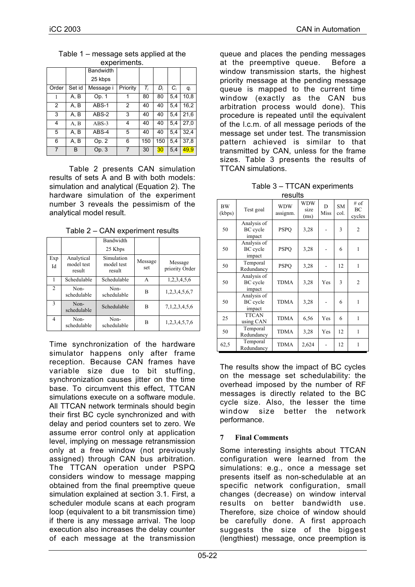| CYNCHILICHI?.  |        |                  |          |       |     |       |       |
|----------------|--------|------------------|----------|-------|-----|-------|-------|
|                |        | <b>Bandwidth</b> |          |       |     |       |       |
|                |        | 25 kbps          |          |       |     |       |       |
| Order          | Set id | Message i        | Priority | $T_i$ | D,  | $C_i$ | $q_i$ |
| 1              | A, B   | Op. 1            |          | 80    | 80  | 5,4   | 10,8  |
| $\overline{2}$ | A, B   | ABS-1            | 2        | 40    | 40  | 5.4   | 16,2  |
| 3              | A, B   | ABS-2            | 3        | 40    | 40  | 5,4   | 21,6  |
| 4              | A, B   | $ABS-3$          | 4        | 40    | 40  | 5.4   | 27,0  |
| 5              | A, B   | ABS-4            | 5        | 40    | 40  | 5.4   | 32.4  |
| 6              | A, B   | Op. 2            | 6        | 150   | 150 | 5,4   | 37,8  |
|                | B      | Op. 3            |          | 30    | 30  | 5,4   | 49,9  |

Table 1 – message sets applied at the ovnorimonte

Table 2 presents CAN simulation results of sets A and B with both models: simulation and analytical (Equation 2). The hardware simulation of the experiment number 3 reveals the pessimism of the analytical model result.

|                |                                    | Bandwidth<br>25 Kbps               |                |                           |
|----------------|------------------------------------|------------------------------------|----------------|---------------------------|
| Exp<br>Id      | Analytical<br>model test<br>result | Simulation<br>model test<br>result | Message<br>set | Message<br>priority Order |
|                | Schedulable                        | Schedulable                        | A              | 1,2,3,4,5,6               |
| $\mathfrak{D}$ | Non-<br>schedulable                | Non-<br>schedulable                | B              | 1,2,3,4,5,6,7             |
| $\mathcal{L}$  | Non-<br>schedulable                | Schedulable                        | B              | 7, 1, 2, 3, 4, 5, 6       |
| 4              | Non-<br>schedulable                | Non-<br>schedulable                | B              | 1,2,3,4,5,7,6             |

Table 2 – CAN experiment results

Time synchronization of the hardware simulator happens only after frame reception. Because CAN frames have variable size due to bit stuffing, synchronization causes jitter on the time base. To circumvent this effect, TTCAN simulations execute on a software module. All TTCAN network terminals should begin their first BC cycle synchronized and with delay and period counters set to zero. We assume error control only at application level, implying on message retransmission only at a free window (not previously assigned) through CAN bus arbitration. The TTCAN operation under PSPQ considers window to message mapping obtained from the final preemptive queue simulation explained at section 3.1. First, a scheduler module scans at each program loop (equivalent to a bit transmission time) if there is any message arrival. The loop execution also increases the delay counter of each message at the transmission

queue and places the pending messages at the preemptive queue. Before a window transmission starts, the highest priority message at the pending message queue is mapped to the current time window (exactly as the CAN bus arbitration process would done). This procedure is repeated until the equivalent of the l.c.m. of all message periods of the message set under test. The transmission pattern achieved is similar to that transmitted by CAN, unless for the frame sizes. Table 3 presents the results of TTCAN simulations.

| Table 3 - TTCAN experiments |
|-----------------------------|
| results                     |

| <b>BW</b><br>(kbps) | Test goal                                | <b>WDW</b><br>assignm. | <b>WDW</b><br>size<br>(ms) | D<br>Miss | <b>SM</b><br>col. | # of<br>BC<br>cycles |
|---------------------|------------------------------------------|------------------------|----------------------------|-----------|-------------------|----------------------|
| 50                  | Analysis of<br><b>BC</b> cycle<br>impact | <b>PSPO</b>            | 3,28                       |           | 3                 | 2                    |
| 50                  | Analysis of<br><b>BC</b> cycle<br>impact | <b>PSPO</b>            | 3.28                       |           | 6                 | 1                    |
| 50                  | Temporal<br>Redundancy                   | <b>PSPQ</b>            | 3,28                       |           | 12                | 1                    |
| 50                  | Analysis of<br><b>BC</b> cycle<br>impact | <b>TDMA</b>            | 3,28                       | Yes       | 3                 | 2                    |
| 50                  | Analysis of<br>BC cycle<br>impact        | <b>TDMA</b>            | 3,28                       |           | 6                 | 1                    |
| 25                  | <b>TTCAN</b><br>using CAN                | TDMA                   | 6,56                       | Yes       | 6                 | 1                    |
| 50                  | Temporal<br>Redundancy                   | <b>TDMA</b>            | 3,28                       | Yes       | 12                | 1                    |
| 62,5                | Temporal<br>Redundancy                   | TDMA                   | 2,624                      |           | 12                | 1                    |

The results show the impact of BC cycles on the message set schedulability: the overhead imposed by the number of RF messages is directly related to the BC cycle size. Also, the lesser the time window size better the network performance.

# **7 Final Comments**

Some interesting insights about TTCAN configuration were learned from the simulations: e.g., once a message set presents itself as non-schedulable at an specific network configuration, small changes (decrease) on window interval results on better bandwidth use. Therefore, size choice of window should be carefully done. A first approach suggests the size of the biggest (lengthiest) message, once preemption is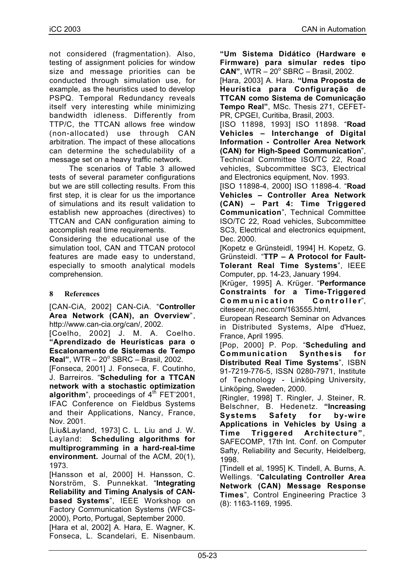not considered (fragmentation). Also, testing of assignment policies for window size and message priorities can be conducted through simulation use, for example, as the heuristics used to develop PSPQ. Temporal Redundancy reveals itself very interesting while minimizing bandwidth idleness. Differently from TTP/C, the TTCAN allows free window (non-allocated) use through CAN arbitration. The impact of these allocations can determine the schedulability of a message set on a heavy traffic network.

The scenarios of Table 3 allowed tests of several parameter configurations but we are still collecting results. From this first step, it is clear for us the importance of simulations and its result validation to establish new approaches (directives) to TTCAN and CAN configuration aiming to accomplish real time requirements. Considering the educational use of the

simulation tool, CAN and TTCAN protocol features are made easy to understand, especially to smooth analytical models comprehension.

### **8 References**

[CAN-CiA, 2002] CAN-CiA. "**Controller Area Network (CAN), an Overview**", http://www.can-cia.org/can/, 2002.

[Coelho, 2002] J. M. A. Coelho. **"Aprendizado de Heurísticas para o Escalonamento de Sistemas de Tempo** Real", WTR - 20° SBRC - Brasil, 2002.

[Fonseca, 2001] J. Fonseca, F. Coutinho, J. Barreiros. "**Scheduling for a TTCAN network with a stochastic optimization** algorithm", proceedings of 4<sup>th</sup> FET'2001, IFAC Conference on Fieldbus Systems and their Applications, Nancy, France, Nov. 2001.

[Liu&Layland, 1973] C. L. Liu and J. W. Layland: **Scheduling algorithms for multiprogramming in a hard-real-time environment.** Journal of the ACM, 20(1), 1973.

[Hansson et al, 2000] H. Hansson, C. Norström, S. Punnekkat. "**Integrating Reliability and Timing Analysis of CANbased Systems**", IEEE Workshop on Factory Communication Systems (WFCS-2000), Porto, Portugal, September 2000.

[Hara et al, 2002] A. Hara, E. Wagner, K. Fonseca, L. Scandelari, E. Nisenbaum. **"Um Sistema Didático (Hardware e Firmware) para simular redes tipo CAN"**, WTR - 20° SBRC - Brasil, 2002.

[Hara, 2003] A. Hara. **"Uma Proposta de Heurística para Configuração de TTCAN como Sistema de Comunicação Tempo Real"**, MSc. Thesis 271, CEFET-PR, CPGEI, Curitiba, Brasil, 2003.

[ISO 11898, 1993] ISO 11898. "**Road Vehicles – Interchange of Digital Information - Controller Area Network (CAN) for High-Speed Communication**", Technical Committee ISO/TC 22, Road vehicles, Subcommittee SC3, Electrical and Electronics equipment, Nov. 1993.

[ISO 11898-4, 2000] ISO 11898-4. "**Road Vehicles – Controller Area Network (CAN) – Part 4: Time Triggered Communication**", Technical Committee ISO/TC 22, Road vehicles, Subcommittee SC3, Electrical and electronics equipment, Dec. 2000.

[Kopetz e Grünsteidl, 1994] H. Kopetz, G. Grünsteidl. "**TTP – A Protocol for Fault-Tolerant Real Time Systems**", IEEE Computer, pp. 14-23, January 1994.

[Krüger, 1995] A. Krüger. "**Performance Constraints for a Time-Triggered Communication Controller**", citeseer.nj.nec.com/163555.html,

European Research Seminar on Advances in Distributed Systems, Alpe d'Huez, France, April 1995.

[Pop, 2000] P. Pop. "**Scheduling and Communication Synthesis for Distributed Real Time Systems**", ISBN 91-7219-776-5, ISSN 0280-7971, Institute of Technology - Linköping University, Linköping, Sweden, 2000.

[Ringler, 1998] T. Ringler, J. Steiner, R. Belschner, B. Hedenetz. **"Increasing Systems Safety for by-wire Applications in Vehicles by Using a Time Triggered Architecture"**, SAFECOMP, 17th Int. Conf. on Computer Safty, Reliability and Security, Heidelberg, 1998.

[Tindell et al, 1995] K. Tindell, A. Burns, A. Wellings. "**Calculating Controller Area Network (CAN) Message Response Times**", Control Engineering Practice 3 (8): 1163-1169, 1995.